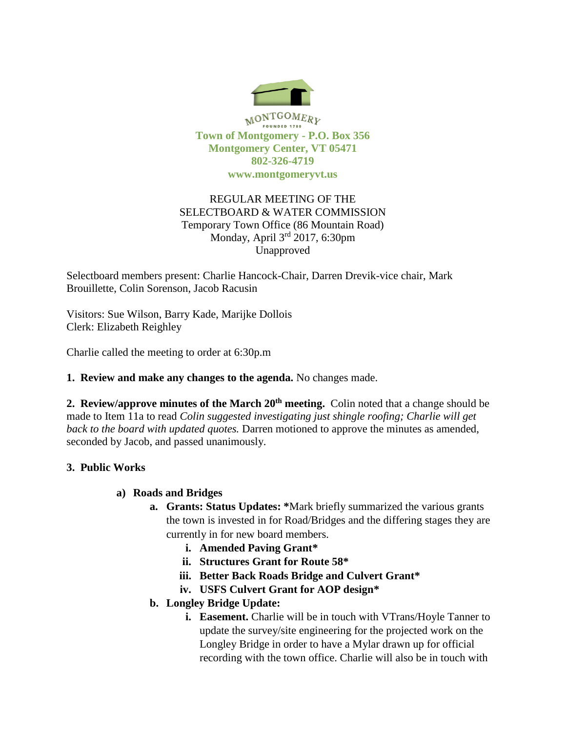

# REGULAR MEETING OF THE SELECTBOARD & WATER COMMISSION Temporary Town Office (86 Mountain Road) Monday, April 3rd 2017, 6:30pm Unapproved

Selectboard members present: Charlie Hancock-Chair, Darren Drevik-vice chair, Mark Brouillette, Colin Sorenson, Jacob Racusin

Visitors: Sue Wilson, Barry Kade, Marijke Dollois Clerk: Elizabeth Reighley

Charlie called the meeting to order at 6:30p.m

### **1. Review and make any changes to the agenda.** No changes made.

**2. Review/approve minutes of the March 20th meeting.** Colin noted that a change should be made to Item 11a to read *Colin suggested investigating just shingle roofing; Charlie will get back to the board with updated quotes.* Darren motioned to approve the minutes as amended, seconded by Jacob, and passed unanimously.

# **3. Public Works**

### **a) Roads and Bridges**

- **a. Grants: Status Updates: \***Mark briefly summarized the various grants the town is invested in for Road/Bridges and the differing stages they are currently in for new board members.
	- **i. Amended Paving Grant\***
	- **ii. Structures Grant for Route 58\***
	- **iii. Better Back Roads Bridge and Culvert Grant\***
	- **iv. USFS Culvert Grant for AOP design\***
- **b. Longley Bridge Update:**
	- **i. Easement.** Charlie will be in touch with VTrans/Hoyle Tanner to update the survey/site engineering for the projected work on the Longley Bridge in order to have a Mylar drawn up for official recording with the town office. Charlie will also be in touch with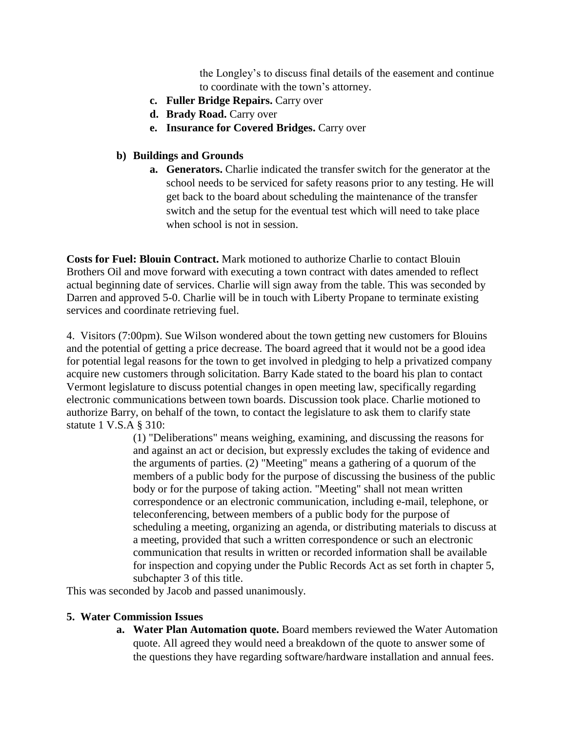the Longley's to discuss final details of the easement and continue to coordinate with the town's attorney.

- **c. Fuller Bridge Repairs.** Carry over
- **d. Brady Road.** Carry over
- **e. Insurance for Covered Bridges.** Carry over

## **b) Buildings and Grounds**

**a. Generators.** Charlie indicated the transfer switch for the generator at the school needs to be serviced for safety reasons prior to any testing. He will get back to the board about scheduling the maintenance of the transfer switch and the setup for the eventual test which will need to take place when school is not in session.

**Costs for Fuel: Blouin Contract.** Mark motioned to authorize Charlie to contact Blouin Brothers Oil and move forward with executing a town contract with dates amended to reflect actual beginning date of services. Charlie will sign away from the table. This was seconded by Darren and approved 5-0. Charlie will be in touch with Liberty Propane to terminate existing services and coordinate retrieving fuel.

4. Visitors (7:00pm). Sue Wilson wondered about the town getting new customers for Blouins and the potential of getting a price decrease. The board agreed that it would not be a good idea for potential legal reasons for the town to get involved in pledging to help a privatized company acquire new customers through solicitation. Barry Kade stated to the board his plan to contact Vermont legislature to discuss potential changes in open meeting law, specifically regarding electronic communications between town boards. Discussion took place. Charlie motioned to authorize Barry, on behalf of the town, to contact the legislature to ask them to clarify state statute 1 V.S.A § 310:

> (1) "Deliberations" means weighing, examining, and discussing the reasons for and against an act or decision, but expressly excludes the taking of evidence and the arguments of parties. (2) "Meeting" means a gathering of a quorum of the members of a public body for the purpose of discussing the business of the public body or for the purpose of taking action. "Meeting" shall not mean written correspondence or an electronic communication, including e-mail, telephone, or teleconferencing, between members of a public body for the purpose of scheduling a meeting, organizing an agenda, or distributing materials to discuss at a meeting, provided that such a written correspondence or such an electronic communication that results in written or recorded information shall be available for inspection and copying under the Public Records Act as set forth in chapter 5, subchapter 3 of this title.

This was seconded by Jacob and passed unanimously.

### **5. Water Commission Issues**

**a. Water Plan Automation quote.** Board members reviewed the Water Automation quote. All agreed they would need a breakdown of the quote to answer some of the questions they have regarding software/hardware installation and annual fees.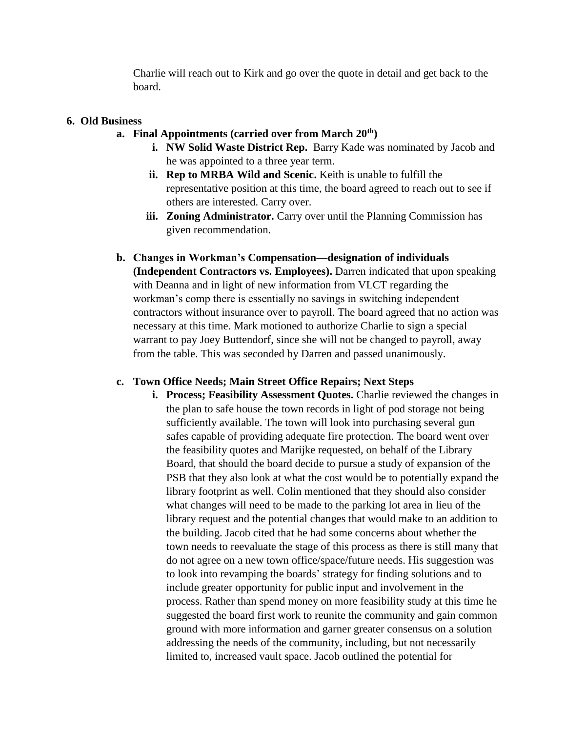Charlie will reach out to Kirk and go over the quote in detail and get back to the board.

#### **6. Old Business**

### **a. Final Appointments (carried over from March 20th)**

- **i. NW Solid Waste District Rep.** Barry Kade was nominated by Jacob and he was appointed to a three year term.
- **ii. Rep to MRBA Wild and Scenic.** Keith is unable to fulfill the representative position at this time, the board agreed to reach out to see if others are interested. Carry over.
- **iii. Zoning Administrator.** Carry over until the Planning Commission has given recommendation.
- **b. Changes in Workman's Compensation—designation of individuals (Independent Contractors vs. Employees).** Darren indicated that upon speaking with Deanna and in light of new information from VLCT regarding the workman's comp there is essentially no savings in switching independent contractors without insurance over to payroll. The board agreed that no action was necessary at this time. Mark motioned to authorize Charlie to sign a special warrant to pay Joey Buttendorf, since she will not be changed to payroll, away from the table. This was seconded by Darren and passed unanimously.

### **c. Town Office Needs; Main Street Office Repairs; Next Steps**

**i.** Process; Feasibility Assessment Quotes. Charlie reviewed the changes in the plan to safe house the town records in light of pod storage not being sufficiently available. The town will look into purchasing several gun safes capable of providing adequate fire protection. The board went over the feasibility quotes and Marijke requested, on behalf of the Library Board, that should the board decide to pursue a study of expansion of the PSB that they also look at what the cost would be to potentially expand the library footprint as well. Colin mentioned that they should also consider what changes will need to be made to the parking lot area in lieu of the library request and the potential changes that would make to an addition to the building. Jacob cited that he had some concerns about whether the town needs to reevaluate the stage of this process as there is still many that do not agree on a new town office/space/future needs. His suggestion was to look into revamping the boards' strategy for finding solutions and to include greater opportunity for public input and involvement in the process. Rather than spend money on more feasibility study at this time he suggested the board first work to reunite the community and gain common ground with more information and garner greater consensus on a solution addressing the needs of the community, including, but not necessarily limited to, increased vault space. Jacob outlined the potential for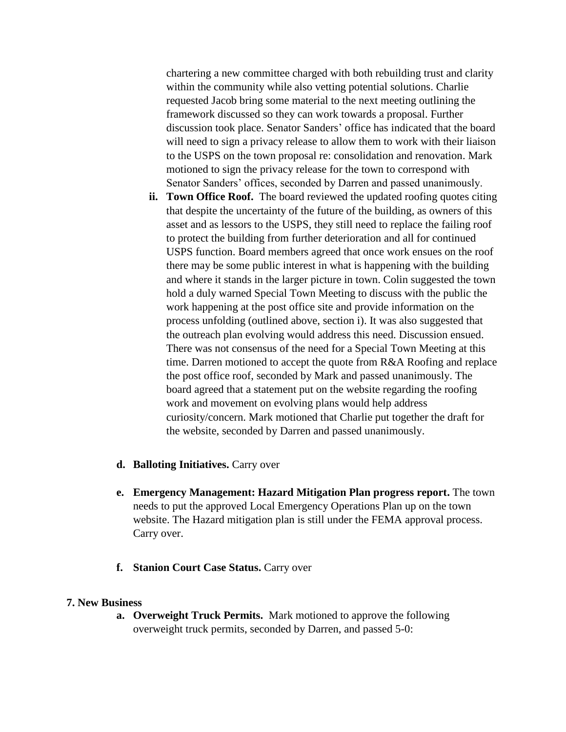chartering a new committee charged with both rebuilding trust and clarity within the community while also vetting potential solutions. Charlie requested Jacob bring some material to the next meeting outlining the framework discussed so they can work towards a proposal. Further discussion took place. Senator Sanders' office has indicated that the board will need to sign a privacy release to allow them to work with their liaison to the USPS on the town proposal re: consolidation and renovation. Mark motioned to sign the privacy release for the town to correspond with Senator Sanders' offices, seconded by Darren and passed unanimously.

- **ii. Town Office Roof.** The board reviewed the updated roofing quotes citing that despite the uncertainty of the future of the building, as owners of this asset and as lessors to the USPS, they still need to replace the failing roof to protect the building from further deterioration and all for continued USPS function. Board members agreed that once work ensues on the roof there may be some public interest in what is happening with the building and where it stands in the larger picture in town. Colin suggested the town hold a duly warned Special Town Meeting to discuss with the public the work happening at the post office site and provide information on the process unfolding (outlined above, section i). It was also suggested that the outreach plan evolving would address this need. Discussion ensued. There was not consensus of the need for a Special Town Meeting at this time. Darren motioned to accept the quote from R&A Roofing and replace the post office roof, seconded by Mark and passed unanimously. The board agreed that a statement put on the website regarding the roofing work and movement on evolving plans would help address curiosity/concern. Mark motioned that Charlie put together the draft for the website, seconded by Darren and passed unanimously.
- **d. Balloting Initiatives.** Carry over
- **e. Emergency Management: Hazard Mitigation Plan progress report.** The town needs to put the approved Local Emergency Operations Plan up on the town website. The Hazard mitigation plan is still under the FEMA approval process. Carry over.
- **f. Stanion Court Case Status.** Carry over

#### **7. New Business**

**a. Overweight Truck Permits.** Mark motioned to approve the following overweight truck permits, seconded by Darren, and passed 5-0: